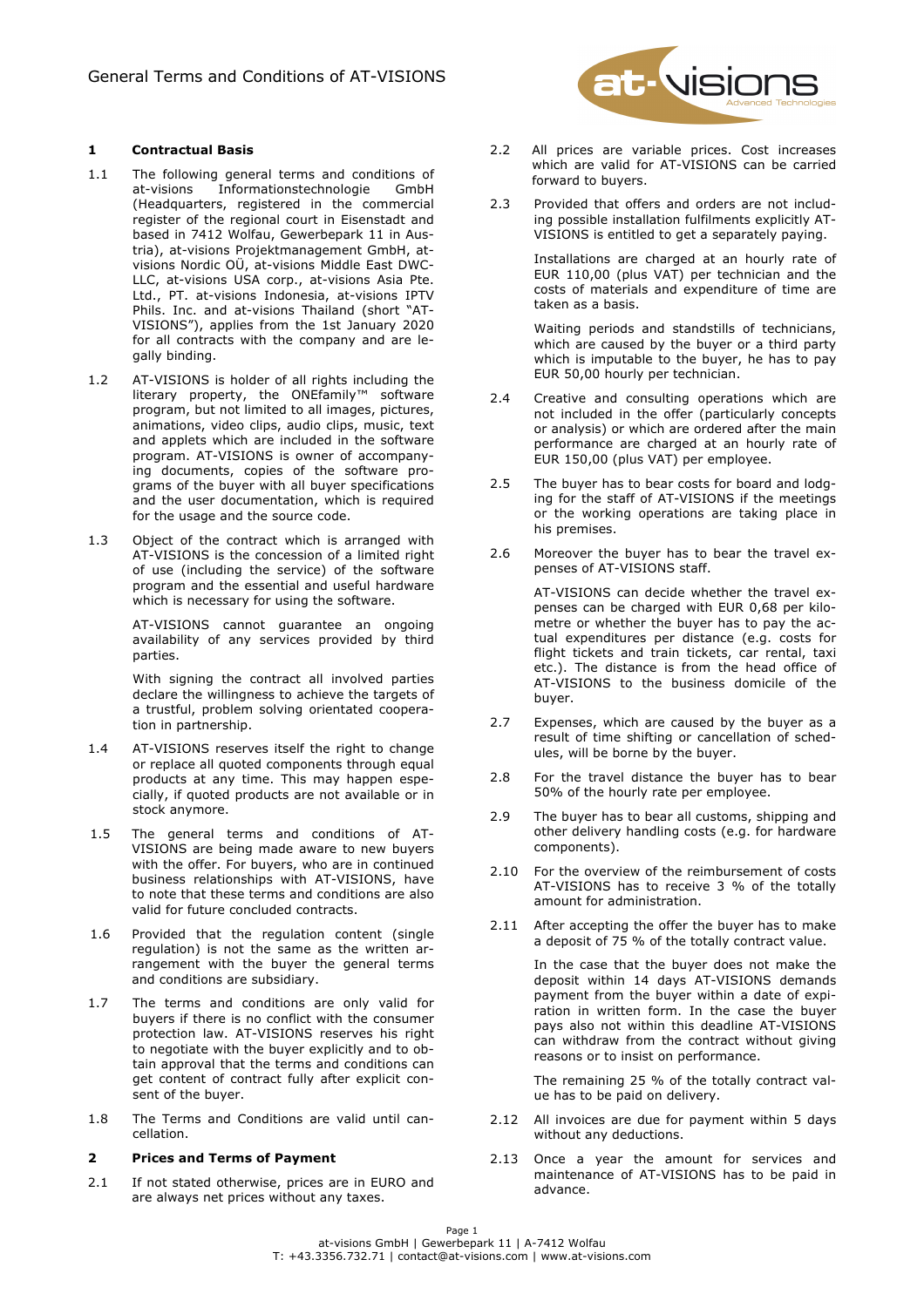# **1 Contractual Basis**

- 1.1 The following general terms and conditions of at-visions Informationstechnologie GmbH (Headquarters, registered in the commercial register of the regional court in Eisenstadt and based in 7412 Wolfau, Gewerbepark 11 in Austria), at-visions Projektmanagement GmbH, atvisions Nordic OÜ, at-visions Middle East DWC-LLC, at-visions USA corp., at-visions Asia Pte. Ltd., PT. at-visions Indonesia, at-visions IPTV Phils. Inc. and at-visions Thailand (short "AT-VISIONS"), applies from the 1st January 2020 for all contracts with the company and are legally binding.
- 1.2 AT-VISIONS is holder of all rights including the literary property, the ONEfamily™ software program, but not limited to all images, pictures, animations, video clips, audio clips, music, text and applets which are included in the software program. AT-VISIONS is owner of accompanying documents, copies of the software programs of the buyer with all buyer specifications and the user documentation, which is required for the usage and the source code.
- 1.3 Object of the contract which is arranged with AT-VISIONS is the concession of a limited right of use (including the service) of the software program and the essential and useful hardware which is necessary for using the software.

AT-VISIONS cannot guarantee an ongoing availability of any services provided by third parties.

With signing the contract all involved parties declare the willingness to achieve the targets of a trustful, problem solving orientated cooperation in partnership.

- 1.4 AT-VISIONS reserves itself the right to change or replace all quoted components through equal products at any time. This may happen especially, if quoted products are not available or in stock anymore.
- 1.5 The general terms and conditions of AT-VISIONS are being made aware to new buyers with the offer. For buyers, who are in continued business relationships with AT-VISIONS, have to note that these terms and conditions are also valid for future concluded contracts.
- 1.6 Provided that the regulation content (single regulation) is not the same as the written arrangement with the buyer the general terms and conditions are subsidiary.
- 1.7 The terms and conditions are only valid for buyers if there is no conflict with the consumer protection law. AT-VISIONS reserves his right to negotiate with the buyer explicitly and to obtain approval that the terms and conditions can get content of contract fully after explicit consent of the buyer.
- 1.8 The Terms and Conditions are valid until cancellation.

#### **2 Prices and Terms of Payment**

2.1 If not stated otherwise, prices are in EURO and are always net prices without any taxes.



- 2.2 All prices are variable prices. Cost increases which are valid for AT-VISIONS can be carried forward to buyers.
- 2.3 Provided that offers and orders are not including possible installation fulfilments explicitly AT-VISIONS is entitled to get a separately paying.

Installations are charged at an hourly rate of EUR 110,00 (plus VAT) per technician and the costs of materials and expenditure of time are taken as a basis.

Waiting periods and standstills of technicians, which are caused by the buyer or a third party which is imputable to the buyer, he has to pay EUR 50,00 hourly per technician.

- 2.4 Creative and consulting operations which are not included in the offer (particularly concepts or analysis) or which are ordered after the main performance are charged at an hourly rate of EUR 150,00 (plus VAT) per employee.
- 2.5 The buyer has to bear costs for board and lodging for the staff of AT-VISIONS if the meetings or the working operations are taking place in his premises.
- 2.6 Moreover the buyer has to bear the travel expenses of AT-VISIONS staff.

AT-VISIONS can decide whether the travel expenses can be charged with EUR 0,68 per kilometre or whether the buyer has to pay the actual expenditures per distance (e.g. costs for flight tickets and train tickets, car rental, taxi etc.). The distance is from the head office of AT-VISIONS to the business domicile of the buyer.

- 2.7 Expenses, which are caused by the buyer as a result of time shifting or cancellation of schedules, will be borne by the buyer.
- 2.8 For the travel distance the buyer has to bear 50% of the hourly rate per employee.
- 2.9 The buyer has to bear all customs, shipping and other delivery handling costs (e.g. for hardware components).
- 2.10 For the overview of the reimbursement of costs AT-VISIONS has to receive 3 % of the totally amount for administration.
- 2.11 After accepting the offer the buyer has to make a deposit of 75 % of the totally contract value.

In the case that the buyer does not make the deposit within 14 days AT-VISIONS demands payment from the buyer within a date of expiration in written form. In the case the buyer pays also not within this deadline AT-VISIONS can withdraw from the contract without giving reasons or to insist on performance.

The remaining 25 % of the totally contract value has to be paid on delivery.

- 2.12 All invoices are due for payment within 5 days without any deductions.
- 2.13 Once a year the amount for services and maintenance of AT-VISIONS has to be paid in advance.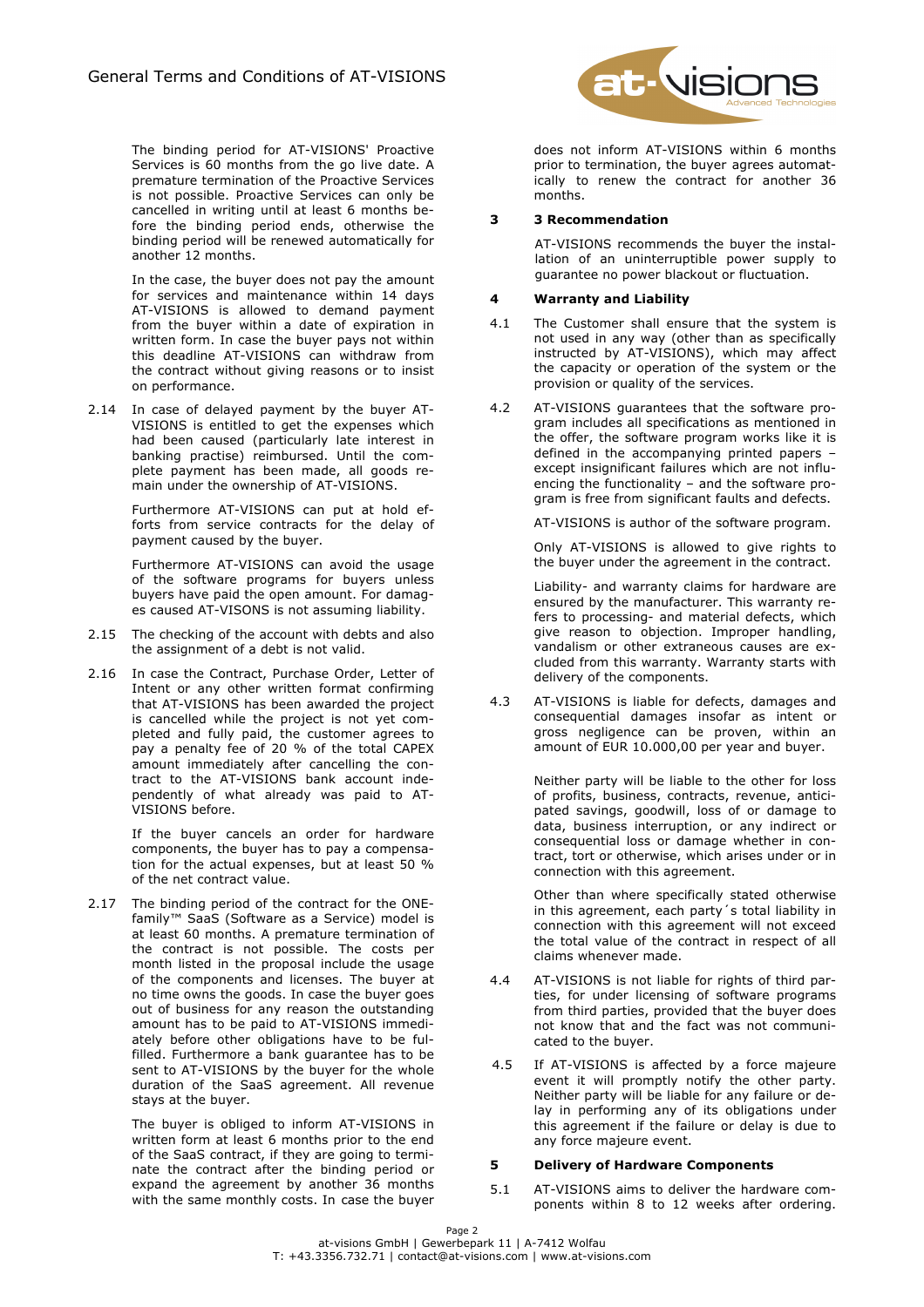The binding period for AT-VISIONS' Proactive Services is 60 months from the go live date. A premature termination of the Proactive Services is not possible. Proactive Services can only be cancelled in writing until at least 6 months before the binding period ends, otherwise the binding period will be renewed automatically for another 12 months.

In the case, the buyer does not pay the amount for services and maintenance within 14 days AT-VISIONS is allowed to demand payment from the buyer within a date of expiration in written form. In case the buyer pays not within this deadline AT-VISIONS can withdraw from the contract without giving reasons or to insist on performance.

2.14 In case of delayed payment by the buyer AT-VISIONS is entitled to get the expenses which had been caused (particularly late interest in banking practise) reimbursed. Until the complete payment has been made, all goods remain under the ownership of AT-VISIONS.

> Furthermore AT-VISIONS can put at hold efforts from service contracts for the delay of payment caused by the buyer.

> Furthermore AT-VISIONS can avoid the usage of the software programs for buyers unless buyers have paid the open amount. For damages caused AT-VISONS is not assuming liability.

- 2.15 The checking of the account with debts and also the assignment of a debt is not valid.
- 2.16 In case the Contract, Purchase Order, Letter of Intent or any other written format confirming that AT-VISIONS has been awarded the project is cancelled while the project is not yet completed and fully paid, the customer agrees to pay a penalty fee of 20 % of the total CAPEX amount immediately after cancelling the contract to the AT-VISIONS bank account independently of what already was paid to AT-VISIONS before.

If the buyer cancels an order for hardware components, the buyer has to pay a compensation for the actual expenses, but at least 50 % of the net contract value.

2.17 The binding period of the contract for the ONEfamily™ SaaS (Software as a Service) model is at least 60 months. A premature termination of the contract is not possible. The costs per month listed in the proposal include the usage of the components and licenses. The buyer at no time owns the goods. In case the buyer goes out of business for any reason the outstanding amount has to be paid to AT-VISIONS immediately before other obligations have to be fulfilled. Furthermore a bank guarantee has to be sent to AT-VISIONS by the buyer for the whole duration of the SaaS agreement. All revenue stays at the buyer.

> The buyer is obliged to inform AT-VISIONS in written form at least 6 months prior to the end of the SaaS contract, if they are going to terminate the contract after the binding period or expand the agreement by another 36 months with the same monthly costs. In case the buyer



does not inform AT-VISIONS within 6 months prior to termination, the buyer agrees automatically to renew the contract for another 36 months.

# **3 3 Recommendation**

AT-VISIONS recommends the buyer the installation of an uninterruptible power supply to guarantee no power blackout or fluctuation.

## **4 Warranty and Liability**

- 4.1 The Customer shall ensure that the system is not used in any way (other than as specifically instructed by AT-VISIONS), which may affect the capacity or operation of the system or the provision or quality of the services.
- 4.2 AT-VISIONS guarantees that the software program includes all specifications as mentioned in the offer, the software program works like it is defined in the accompanying printed papers – except insignificant failures which are not influencing the functionality – and the software program is free from significant faults and defects.

AT-VISIONS is author of the software program.

Only AT-VISIONS is allowed to give rights to the buyer under the agreement in the contract.

Liability- and warranty claims for hardware are ensured by the manufacturer. This warranty refers to processing- and material defects, which give reason to objection. Improper handling, vandalism or other extraneous causes are excluded from this warranty. Warranty starts with delivery of the components.

4.3 AT-VISIONS is liable for defects, damages and consequential damages insofar as intent or gross negligence can be proven, within an amount of EUR 10.000,00 per year and buyer.

> Neither party will be liable to the other for loss of profits, business, contracts, revenue, anticipated savings, goodwill, loss of or damage to data, business interruption, or any indirect or consequential loss or damage whether in contract, tort or otherwise, which arises under or in connection with this agreement.

> Other than where specifically stated otherwise in this agreement, each party´s total liability in connection with this agreement will not exceed the total value of the contract in respect of all claims whenever made.

- 4.4 AT-VISIONS is not liable for rights of third parties, for under licensing of software programs from third parties, provided that the buyer does not know that and the fact was not communicated to the buyer.
- 4.5 If AT-VISIONS is affected by a force majeure event it will promptly notify the other party. Neither party will be liable for any failure or delay in performing any of its obligations under this agreement if the failure or delay is due to any force majeure event.

## **5 Delivery of Hardware Components**

5.1 AT-VISIONS aims to deliver the hardware components within 8 to 12 weeks after ordering.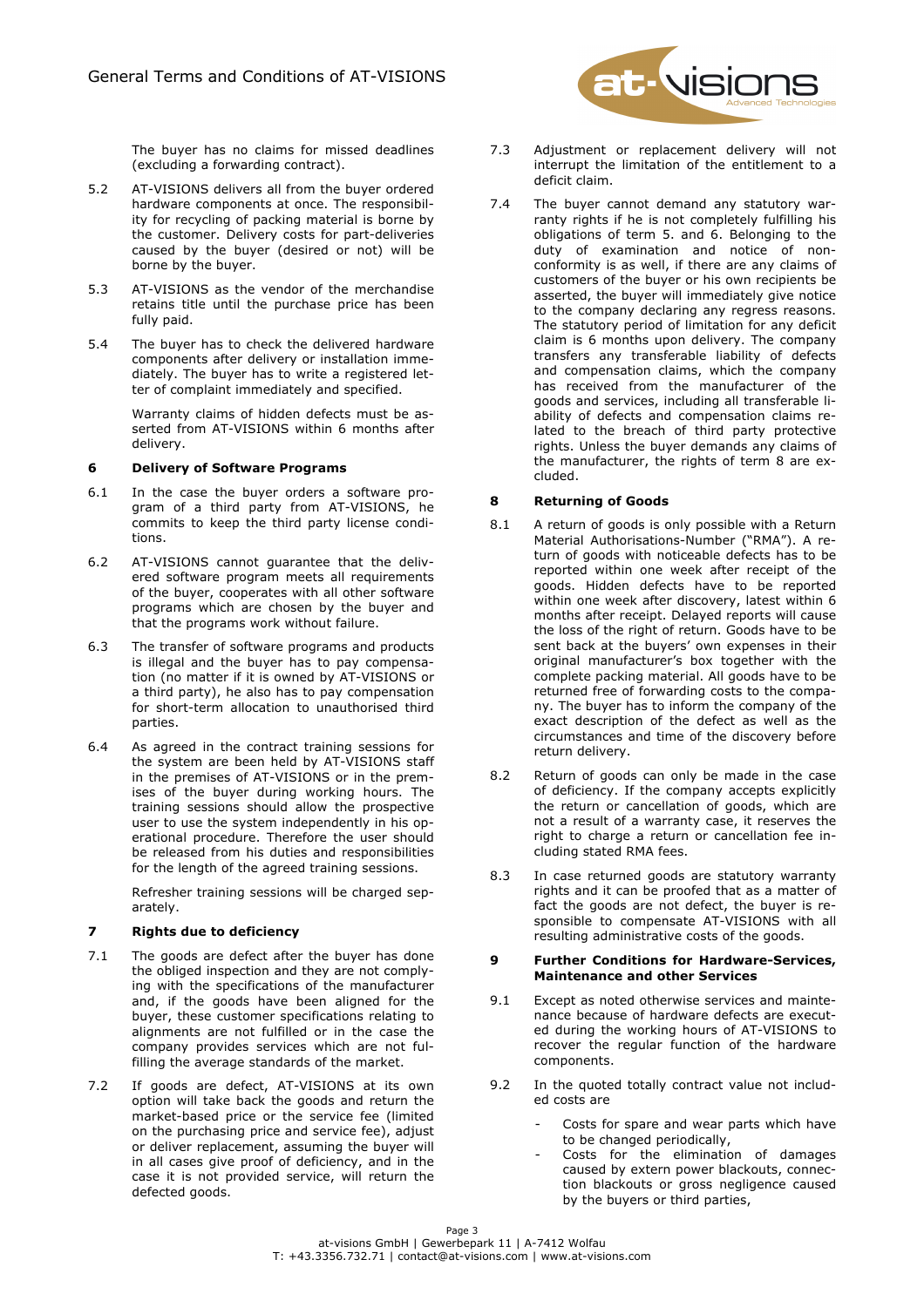**t-** visions

The buyer has no claims for missed deadlines (excluding a forwarding contract).

- 5.2 AT-VISIONS delivers all from the buyer ordered hardware components at once. The responsibility for recycling of packing material is borne by the customer. Delivery costs for part-deliveries caused by the buyer (desired or not) will be borne by the buyer.
- 5.3 AT-VISIONS as the vendor of the merchandise retains title until the purchase price has been fully paid.
- 5.4 The buyer has to check the delivered hardware components after delivery or installation immediately. The buyer has to write a registered letter of complaint immediately and specified.

Warranty claims of hidden defects must be asserted from AT-VISIONS within 6 months after delivery.

#### **6 Delivery of Software Programs**

- 6.1 In the case the buyer orders a software program of a third party from AT-VISIONS, he commits to keep the third party license conditions.
- 6.2 AT-VISIONS cannot guarantee that the delivered software program meets all requirements of the buyer, cooperates with all other software programs which are chosen by the buyer and that the programs work without failure.
- 6.3 The transfer of software programs and products is illegal and the buyer has to pay compensation (no matter if it is owned by AT-VISIONS or a third party), he also has to pay compensation for short-term allocation to unauthorised third parties.
- 6.4 As agreed in the contract training sessions for the system are been held by AT-VISIONS staff in the premises of AT-VISIONS or in the premises of the buyer during working hours. The training sessions should allow the prospective user to use the system independently in his operational procedure. Therefore the user should be released from his duties and responsibilities for the length of the agreed training sessions.

Refresher training sessions will be charged separately.

# **7 Rights due to deficiency**

- 7.1 The goods are defect after the buyer has done the obliged inspection and they are not complying with the specifications of the manufacturer and, if the goods have been aligned for the buyer, these customer specifications relating to alignments are not fulfilled or in the case the company provides services which are not fulfilling the average standards of the market.
- 7.2 If goods are defect, AT-VISIONS at its own option will take back the goods and return the market-based price or the service fee (limited on the purchasing price and service fee), adjust or deliver replacement, assuming the buyer will in all cases give proof of deficiency, and in the case it is not provided service, will return the defected goods.
- 7.3 Adjustment or replacement delivery will not interrupt the limitation of the entitlement to a deficit claim.
- 7.4 The buyer cannot demand any statutory warranty rights if he is not completely fulfilling his obligations of term 5. and 6. Belonging to the duty of examination and notice of nonconformity is as well, if there are any claims of customers of the buyer or his own recipients be asserted, the buyer will immediately give notice to the company declaring any regress reasons. The statutory period of limitation for any deficit claim is 6 months upon delivery. The company transfers any transferable liability of defects and compensation claims, which the company has received from the manufacturer of the goods and services, including all transferable liability of defects and compensation claims related to the breach of third party protective rights. Unless the buyer demands any claims of the manufacturer, the rights of term 8 are excluded.

## **8 Returning of Goods**

- 8.1 A return of goods is only possible with a Return Material Authorisations-Number ("RMA"). A return of goods with noticeable defects has to be reported within one week after receipt of the goods. Hidden defects have to be reported within one week after discovery, latest within 6 months after receipt. Delayed reports will cause the loss of the right of return. Goods have to be sent back at the buyers' own expenses in their original manufacturer's box together with the complete packing material. All goods have to be returned free of forwarding costs to the company. The buyer has to inform the company of the exact description of the defect as well as the circumstances and time of the discovery before return delivery.
- 8.2 Return of goods can only be made in the case of deficiency. If the company accepts explicitly the return or cancellation of goods, which are not a result of a warranty case, it reserves the right to charge a return or cancellation fee including stated RMA fees.
- 8.3 In case returned goods are statutory warranty rights and it can be proofed that as a matter of fact the goods are not defect, the buyer is responsible to compensate AT-VISIONS with all resulting administrative costs of the goods.

#### **9 Further Conditions for Hardware-Services, Maintenance and other Services**

- 9.1 Except as noted otherwise services and maintenance because of hardware defects are executed during the working hours of AT-VISIONS to recover the regular function of the hardware components.
- 9.2 In the quoted totally contract value not included costs are
	- Costs for spare and wear parts which have to be changed periodically,
	- Costs for the elimination of damages caused by extern power blackouts, connection blackouts or gross negligence caused by the buyers or third parties,